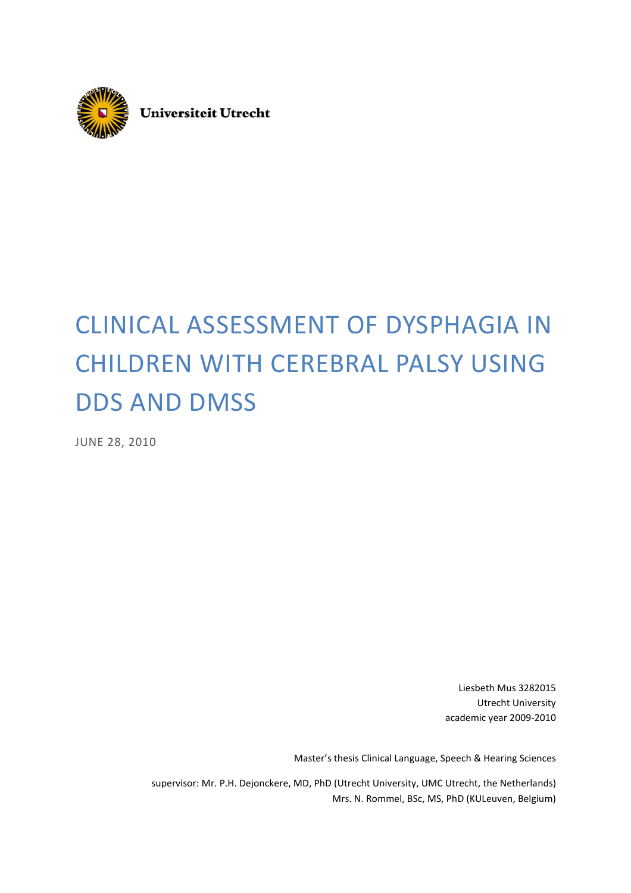

**Universiteit Utrecht** 

# CLINICAL ASSESSMENT OF DYSPHAGIA IN CHILDREN WITH CEREBRAL PALSY USING DDS AND DMSS

JUNE 28, 2010

Liesbeth Mus 3282015 Utrecht University academic year 2009-2010

Master's thesis Clinical Language, Speech & Hearing Sciences

supervisor: Mr. P.H. Dejonckere, MD, PhD (Utrecht University, UMC Utrecht, the Netherlands) Mrs. N. Rommel, BSc, MS, PhD (KULeuven, Belgium)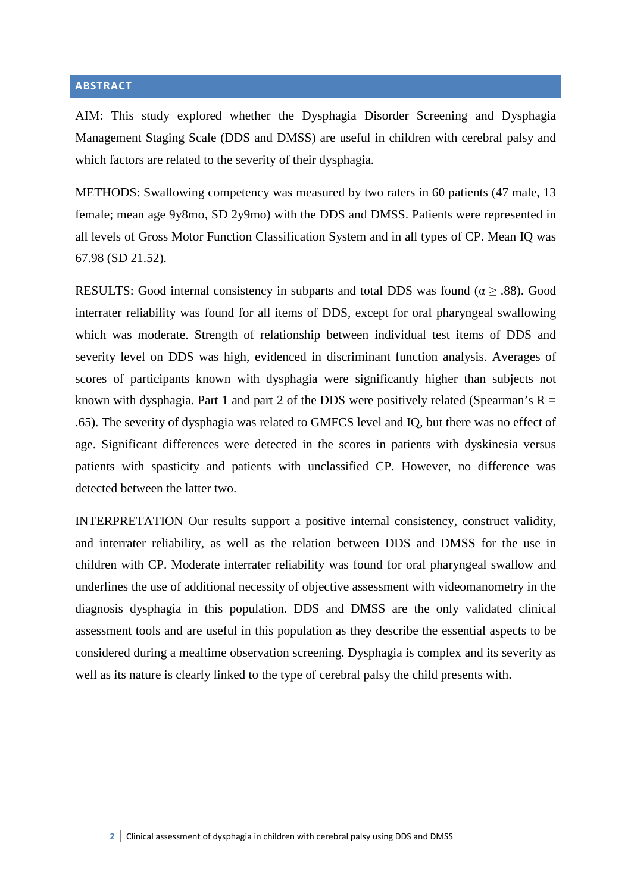# **ABSTRACT**

AIM: This study explored whether the Dysphagia Disorder Screening and Dysphagia Management Staging Scale (DDS and DMSS) are useful in children with cerebral palsy and which factors are related to the severity of their dysphagia.

METHODS: Swallowing competency was measured by two raters in 60 patients (47 male, 13 female; mean age 9y8mo, SD 2y9mo) with the DDS and DMSS. Patients were represented in all levels of Gross Motor Function Classification System and in all types of CP. Mean IQ was 67.98 (SD 21.52).

RESULTS: Good internal consistency in subparts and total DDS was found ( $\alpha \geq .88$ ). Good interrater reliability was found for all items of DDS, except for oral pharyngeal swallowing which was moderate. Strength of relationship between individual test items of DDS and severity level on DDS was high, evidenced in discriminant function analysis. Averages of scores of participants known with dysphagia were significantly higher than subjects not known with dysphagia. Part 1 and part 2 of the DDS were positively related (Spearman's  $R =$ .65). The severity of dysphagia was related to GMFCS level and IQ, but there was no effect of age. Significant differences were detected in the scores in patients with dyskinesia versus patients with spasticity and patients with unclassified CP. However, no difference was detected between the latter two.

INTERPRETATION Our results support a positive internal consistency, construct validity, and interrater reliability, as well as the relation between DDS and DMSS for the use in children with CP. Moderate interrater reliability was found for oral pharyngeal swallow and underlines the use of additional necessity of objective assessment with videomanometry in the diagnosis dysphagia in this population. DDS and DMSS are the only validated clinical assessment tools and are useful in this population as they describe the essential aspects to be considered during a mealtime observation screening. Dysphagia is complex and its severity as well as its nature is clearly linked to the type of cerebral palsy the child presents with.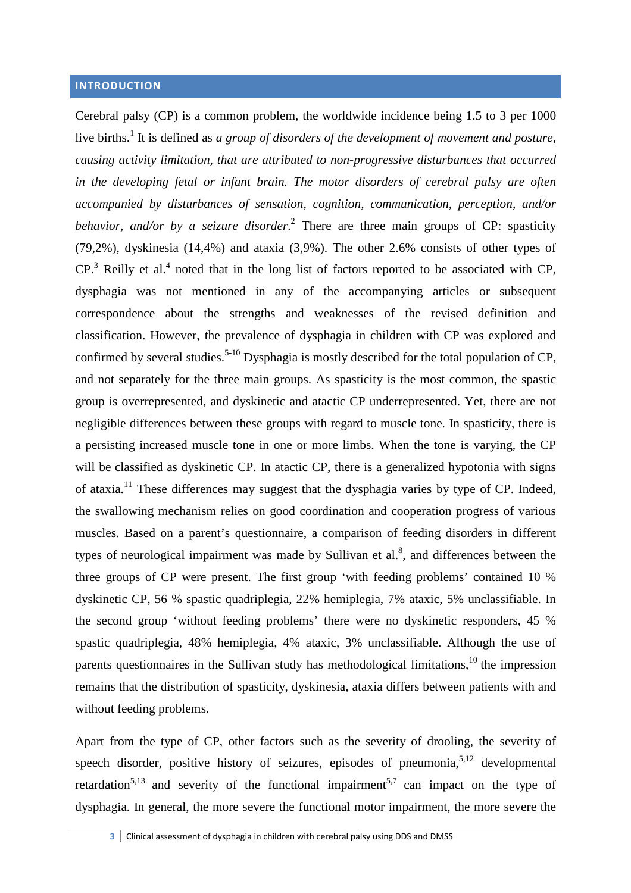# **INTRODUCTION**

Cerebral palsy (CP) is a common problem, the worldwide incidence being 1.5 to 3 per 1000 live births.<sup>1</sup> It is defined as *a group of disorders of the development of movement and posture, causing activity limitation, that are attributed to non-progressive disturbances that occurred in the developing fetal or infant brain. The motor disorders of cerebral palsy are often accompanied by disturbances of sensation, cognition, communication, perception, and/or behavior, and/or by a seizure disorder*. 2 There are three main groups of CP: spasticity (79,2%), dyskinesia (14,4%) and ataxia (3,9%). The other 2.6% consists of other types of  $CP<sup>3</sup>$  Reilly et al.<sup>4</sup> noted that in the long list of factors reported to be associated with CP, dysphagia was not mentioned in any of the accompanying articles or subsequent correspondence about the strengths and weaknesses of the revised definition and classification. However, the prevalence of dysphagia in children with CP was explored and confirmed by several studies.<sup>5-10</sup> Dysphagia is mostly described for the total population of CP, and not separately for the three main groups. As spasticity is the most common, the spastic group is overrepresented, and dyskinetic and atactic CP underrepresented. Yet, there are not negligible differences between these groups with regard to muscle tone. In spasticity, there is a persisting increased muscle tone in one or more limbs. When the tone is varying, the CP will be classified as dyskinetic CP. In atactic CP, there is a generalized hypotonia with signs of ataxia.<sup>11</sup> These differences may suggest that the dysphagia varies by type of CP. Indeed, the swallowing mechanism relies on good coordination and cooperation progress of various muscles. Based on a parent's questionnaire, a comparison of feeding disorders in different types of neurological impairment was made by Sullivan et al. $<sup>8</sup>$ , and differences between the</sup> three groups of CP were present. The first group 'with feeding problems' contained 10 % dyskinetic CP, 56 % spastic quadriplegia, 22% hemiplegia, 7% ataxic, 5% unclassifiable. In the second group 'without feeding problems' there were no dyskinetic responders, 45 % spastic quadriplegia, 48% hemiplegia, 4% ataxic, 3% unclassifiable. Although the use of parents questionnaires in the Sullivan study has methodological limitations,  $^{10}$  the impression remains that the distribution of spasticity, dyskinesia, ataxia differs between patients with and without feeding problems.

Apart from the type of CP, other factors such as the severity of drooling, the severity of speech disorder, positive history of seizures, episodes of pneumonia,  $5,12$  developmental retardation<sup>5,13</sup> and severity of the functional impairment<sup>5,7</sup> can impact on the type of dysphagia. In general, the more severe the functional motor impairment, the more severe the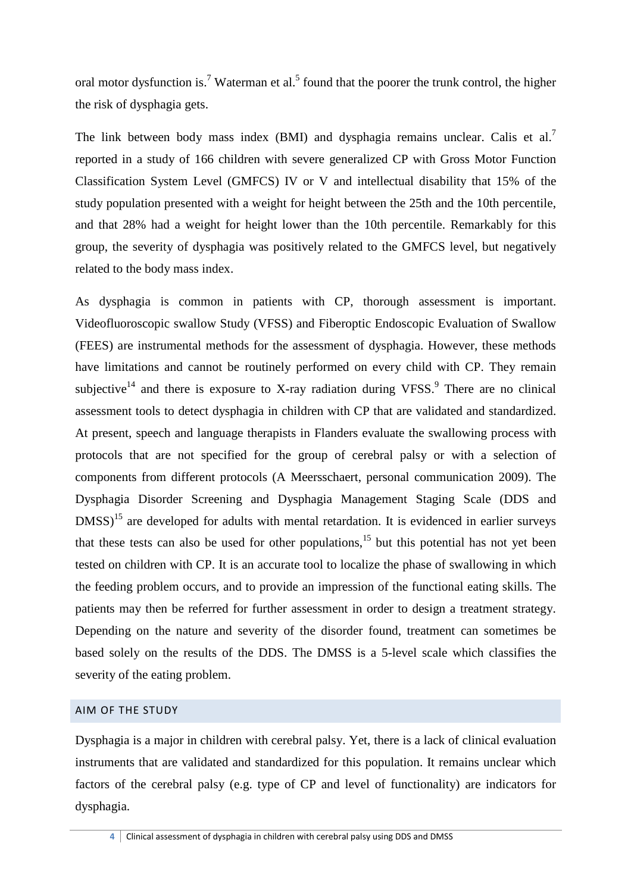oral motor dysfunction is.<sup>7</sup> Waterman et al.<sup>5</sup> found that the poorer the trunk control, the higher the risk of dysphagia gets.

The link between body mass index (BMI) and dysphagia remains unclear. Calis et al.<sup>7</sup> reported in a study of 166 children with severe generalized CP with Gross Motor Function Classification System Level (GMFCS) IV or V and intellectual disability that 15% of the study population presented with a weight for height between the 25th and the 10th percentile, and that 28% had a weight for height lower than the 10th percentile. Remarkably for this group, the severity of dysphagia was positively related to the GMFCS level, but negatively related to the body mass index.

As dysphagia is common in patients with CP, thorough assessment is important. Videofluoroscopic swallow Study (VFSS) and Fiberoptic Endoscopic Evaluation of Swallow (FEES) are instrumental methods for the assessment of dysphagia. However, these methods have limitations and cannot be routinely performed on every child with CP. They remain subjective<sup>14</sup> and there is exposure to X-ray radiation during VFSS.<sup>9</sup> There are no clinical assessment tools to detect dysphagia in children with CP that are validated and standardized. At present, speech and language therapists in Flanders evaluate the swallowing process with protocols that are not specified for the group of cerebral palsy or with a selection of components from different protocols (A Meersschaert, personal communication 2009). The Dysphagia Disorder Screening and Dysphagia Management Staging Scale (DDS and  $DMSS$ <sup>15</sup> are developed for adults with mental retardation. It is evidenced in earlier surveys that these tests can also be used for other populations,<sup>15</sup> but this potential has not yet been tested on children with CP. It is an accurate tool to localize the phase of swallowing in which the feeding problem occurs, and to provide an impression of the functional eating skills. The patients may then be referred for further assessment in order to design a treatment strategy. Depending on the nature and severity of the disorder found, treatment can sometimes be based solely on the results of the DDS. The DMSS is a 5-level scale which classifies the severity of the eating problem.

# AIM OF THE STUDY

Dysphagia is a major in children with cerebral palsy. Yet, there is a lack of clinical evaluation instruments that are validated and standardized for this population. It remains unclear which factors of the cerebral palsy (e.g. type of CP and level of functionality) are indicators for dysphagia.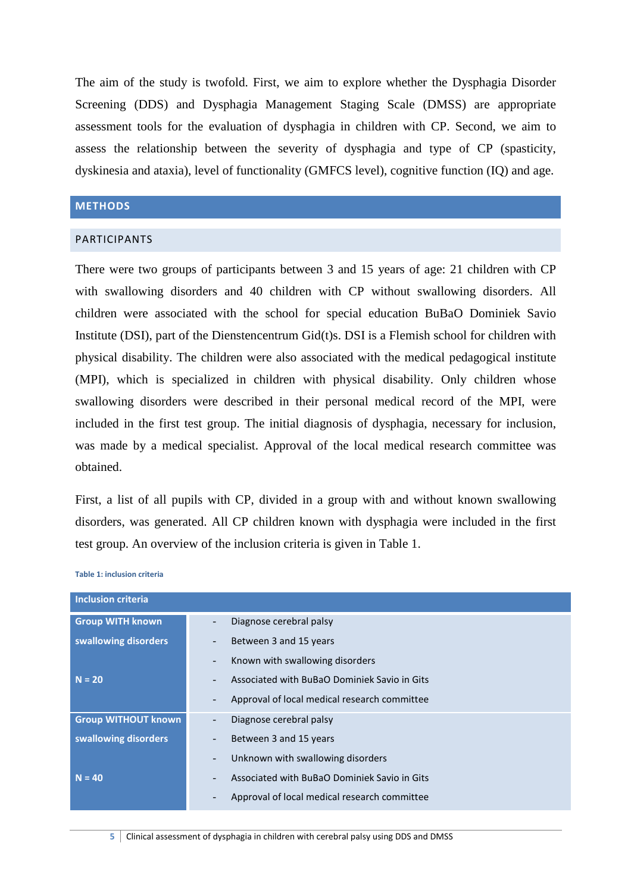The aim of the study is twofold. First, we aim to explore whether the Dysphagia Disorder Screening (DDS) and Dysphagia Management Staging Scale (DMSS) are appropriate assessment tools for the evaluation of dysphagia in children with CP. Second, we aim to assess the relationship between the severity of dysphagia and type of CP (spasticity, dyskinesia and ataxia), level of functionality (GMFCS level), cognitive function (IQ) and age.

# **METHODS**

#### PARTICIPANTS

There were two groups of participants between 3 and 15 years of age: 21 children with CP with swallowing disorders and 40 children with CP without swallowing disorders. All children were associated with the school for special education BuBaO Dominiek Savio Institute (DSI), part of the Dienstencentrum Gid(t)s. DSI is a Flemish school for children with physical disability. The children were also associated with the medical pedagogical institute (MPI), which is specialized in children with physical disability. Only children whose swallowing disorders were described in their personal medical record of the MPI, were included in the first test group. The initial diagnosis of dysphagia, necessary for inclusion, was made by a medical specialist. Approval of the local medical research committee was obtained.

First, a list of all pupils with CP, divided in a group with and without known swallowing disorders, was generated. All CP children known with dysphagia were included in the first test group. An overview of the inclusion criteria is given in Table 1.

| <b>Inclusion criteria</b>  |                                                                          |
|----------------------------|--------------------------------------------------------------------------|
| <b>Group WITH known</b>    | Diagnose cerebral palsy<br>÷,                                            |
| swallowing disorders       | Between 3 and 15 years<br>-                                              |
|                            | Known with swallowing disorders<br>$\overline{a}$                        |
| $N = 20$                   | Associated with BuBaO Dominiek Savio in Gits<br>$\overline{\phantom{0}}$ |
|                            | Approval of local medical research committee<br>$\overline{a}$           |
| <b>Group WITHOUT known</b> | Diagnose cerebral palsy<br>-                                             |
| swallowing disorders       | Between 3 and 15 years<br>$\overline{a}$                                 |
|                            | Unknown with swallowing disorders<br>$\overline{\phantom{0}}$            |
| $N = 40$                   | Associated with BuBaO Dominiek Savio in Gits<br>$\overline{\phantom{0}}$ |
|                            | Approval of local medical research committee<br>$\overline{a}$           |

**Table 1: inclusion criteria**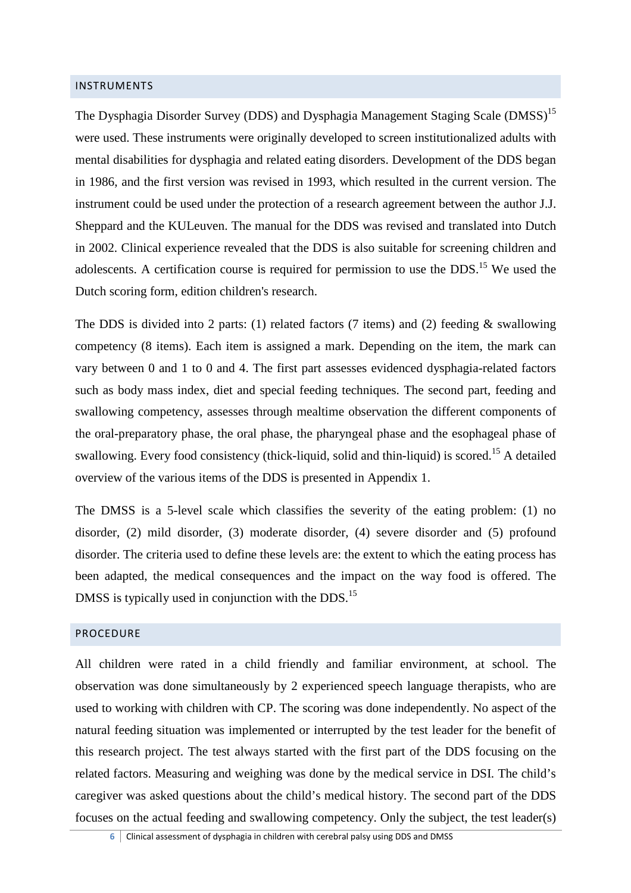#### INSTRUMENTS

The Dysphagia Disorder Survey (DDS) and Dysphagia Management Staging Scale (DMSS)<sup>15</sup> were used. These instruments were originally developed to screen institutionalized adults with mental disabilities for dysphagia and related eating disorders. Development of the DDS began in 1986, and the first version was revised in 1993, which resulted in the current version. The instrument could be used under the protection of a research agreement between the author J.J. Sheppard and the KULeuven. The manual for the DDS was revised and translated into Dutch in 2002. Clinical experience revealed that the DDS is also suitable for screening children and adolescents. A certification course is required for permission to use the DDS.<sup>15</sup> We used the Dutch scoring form, edition children's research.

The DDS is divided into 2 parts: (1) related factors (7 items) and (2) feeding  $\&$  swallowing competency (8 items). Each item is assigned a mark. Depending on the item, the mark can vary between 0 and 1 to 0 and 4. The first part assesses evidenced dysphagia-related factors such as body mass index, diet and special feeding techniques. The second part, feeding and swallowing competency, assesses through mealtime observation the different components of the oral-preparatory phase, the oral phase, the pharyngeal phase and the esophageal phase of swallowing. Every food consistency (thick-liquid, solid and thin-liquid) is scored.<sup>15</sup> A detailed overview of the various items of the DDS is presented in Appendix 1.

The DMSS is a 5-level scale which classifies the severity of the eating problem: (1) no disorder, (2) mild disorder, (3) moderate disorder, (4) severe disorder and (5) profound disorder. The criteria used to define these levels are: the extent to which the eating process has been adapted, the medical consequences and the impact on the way food is offered. The DMSS is typically used in conjunction with the DDS.<sup>15</sup>

# PROCEDURE

All children were rated in a child friendly and familiar environment, at school. The observation was done simultaneously by 2 experienced speech language therapists, who are used to working with children with CP. The scoring was done independently. No aspect of the natural feeding situation was implemented or interrupted by the test leader for the benefit of this research project. The test always started with the first part of the DDS focusing on the related factors. Measuring and weighing was done by the medical service in DSI. The child's caregiver was asked questions about the child's medical history. The second part of the DDS focuses on the actual feeding and swallowing competency. Only the subject, the test leader(s)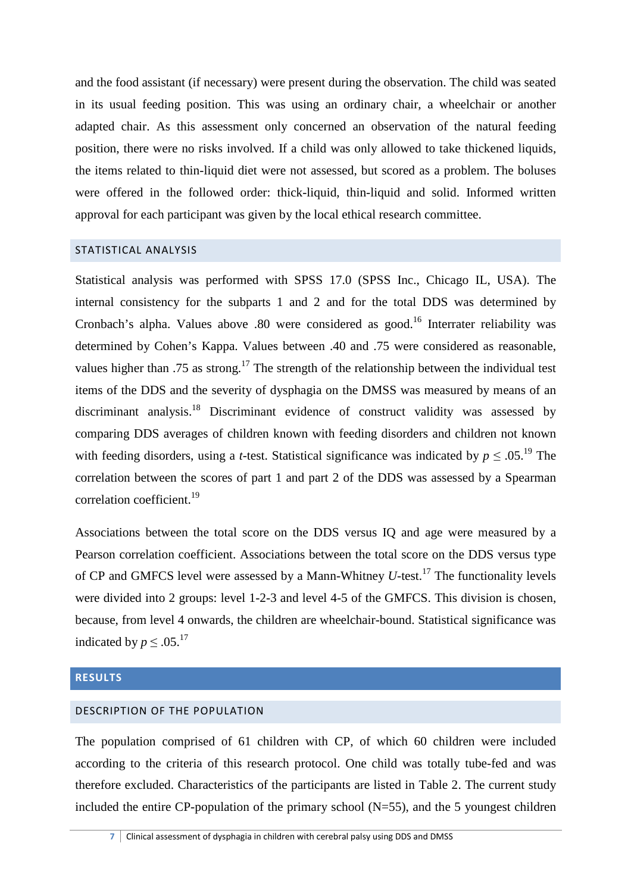and the food assistant (if necessary) were present during the observation. The child was seated in its usual feeding position. This was using an ordinary chair, a wheelchair or another adapted chair. As this assessment only concerned an observation of the natural feeding position, there were no risks involved. If a child was only allowed to take thickened liquids, the items related to thin-liquid diet were not assessed, but scored as a problem. The boluses were offered in the followed order: thick-liquid, thin-liquid and solid. Informed written approval for each participant was given by the local ethical research committee.

# STATISTICAL ANALYSIS

Statistical analysis was performed with SPSS 17.0 (SPSS Inc., Chicago IL, USA). The internal consistency for the subparts 1 and 2 and for the total DDS was determined by Cronbach's alpha. Values above .80 were considered as good.<sup>16</sup> Interrater reliability was determined by Cohen's Kappa. Values between .40 and .75 were considered as reasonable, values higher than .75 as strong.<sup>17</sup> The strength of the relationship between the individual test items of the DDS and the severity of dysphagia on the DMSS was measured by means of an discriminant analysis.<sup>18</sup> Discriminant evidence of construct validity was assessed by comparing DDS averages of children known with feeding disorders and children not known with feeding disorders, using a *t*-test. Statistical significance was indicated by  $p \leq .05$ .<sup>19</sup> The correlation between the scores of part 1 and part 2 of the DDS was assessed by a Spearman correlation coefficient.<sup>19</sup>

Associations between the total score on the DDS versus IQ and age were measured by a Pearson correlation coefficient. Associations between the total score on the DDS versus type of CP and GMFCS level were assessed by a Mann-Whitney *U*-test.<sup>17</sup> The functionality levels were divided into 2 groups: level 1-2-3 and level 4-5 of the GMFCS. This division is chosen, because, from level 4 onwards, the children are wheelchair-bound. Statistical significance was indicated by  $p \leq .05$ .<sup>17</sup>

# **RESULTS**

# DESCRIPTION OF THE POPULATION

The population comprised of 61 children with CP, of which 60 children were included according to the criteria of this research protocol. One child was totally tube-fed and was therefore excluded. Characteristics of the participants are listed in Table 2. The current study included the entire CP-population of the primary school  $(N=55)$ , and the 5 youngest children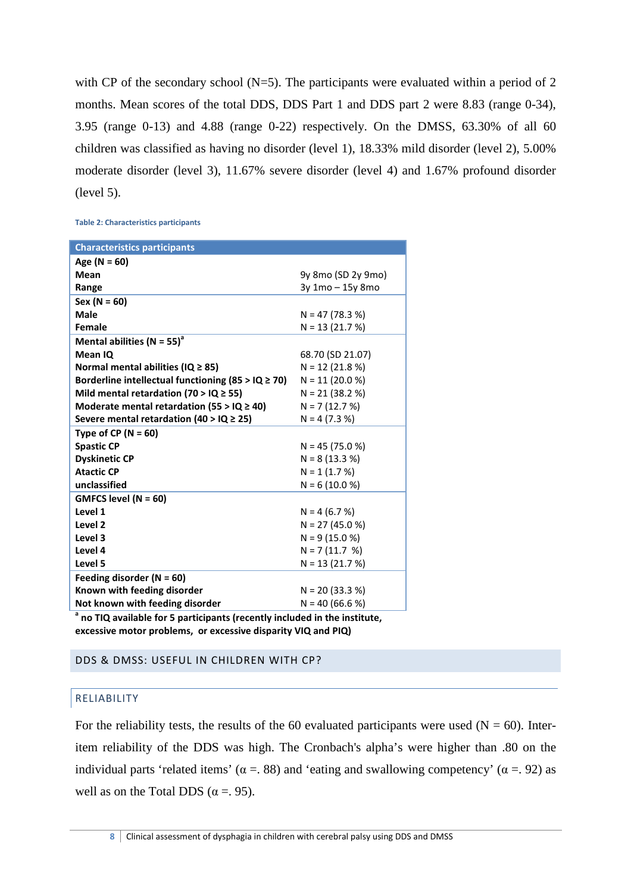with CP of the secondary school ( $N=5$ ). The participants were evaluated within a period of 2 months. Mean scores of the total DDS, DDS Part 1 and DDS part 2 were 8.83 (range 0-34), 3.95 (range 0-13) and 4.88 (range 0-22) respectively. On the DMSS, 63.30% of all 60 children was classified as having no disorder (level 1), 18.33% mild disorder (level 2), 5.00% moderate disorder (level 3), 11.67% severe disorder (level 4) and 1.67% profound disorder (level 5).

**Table 2: Characteristics participants** 

| <b>Characteristics participants</b>                     |                    |
|---------------------------------------------------------|--------------------|
| Age ( $N = 60$ )                                        |                    |
| Mean                                                    | 9y 8mo (SD 2y 9mo) |
| Range                                                   | 3y 1mo - 15y 8mo   |
| $Sex (N = 60)$                                          |                    |
| <b>Male</b>                                             | $N = 47(78.3%)$    |
| Female                                                  | $N = 13(21.7%)$    |
| Mental abilities (N = 55) <sup>a</sup>                  |                    |
| Mean IQ                                                 | 68.70 (SD 21.07)   |
| Normal mental abilities (IQ $\geq$ 85)                  | $N = 12 (21.8 %)$  |
| Borderline intellectual functioning (85 > $IQ \ge 70$ ) | $N = 11 (20.0 %)$  |
| Mild mental retardation (70 > IQ $\geq$ 55)             | $N = 21$ (38.2 %)  |
| Moderate mental retardation (55 > $IQ \geq 40$ )        | $N = 7(12.7%)$     |
| Severe mental retardation (40 > IQ $\geq$ 25)           | $N = 4 (7.3 %)$    |
| Type of CP ( $N = 60$ )                                 |                    |
| <b>Spastic CP</b>                                       | $N = 45 (75.0 %)$  |
| <b>Dyskinetic CP</b>                                    | $N = 8(13.3%)$     |
| <b>Atactic CP</b>                                       | $N = 1$ (1.7 %)    |
| unclassified                                            | $N = 6(10.0 %)$    |
| GMFCS level ( $N = 60$ )                                |                    |
| Level 1                                                 | $N = 4 (6.7 %)$    |
| Level <sub>2</sub>                                      | $N = 27(45.0 %)$   |
| Level 3                                                 | $N = 9(15.0%)$     |
| Level 4                                                 | $N = 7(11.7 %)$    |
| Level 5                                                 | $N = 13(21.7%)$    |
| Feeding disorder ( $N = 60$ )                           |                    |
| Known with feeding disorder                             | $N = 20 (33.3 %)$  |
| Not known with feeding disorder                         | $N = 40 (66.6 %)$  |

**a no TIQ available for 5 participants (recently included in the institute, excessive motor problems, or excessive disparity VIQ and PIQ)** 

#### DDS & DMSS: USEFUL IN CHILDREN WITH CP?

#### RELIABILITY

For the reliability tests, the results of the 60 evaluated participants were used ( $N = 60$ ). Interitem reliability of the DDS was high. The Cronbach's alpha's were higher than .80 on the individual parts 'related items' ( $\alpha = 88$ ) and 'eating and swallowing competency' ( $\alpha = 92$ ) as well as on the Total DDS ( $\alpha$  = 0.95).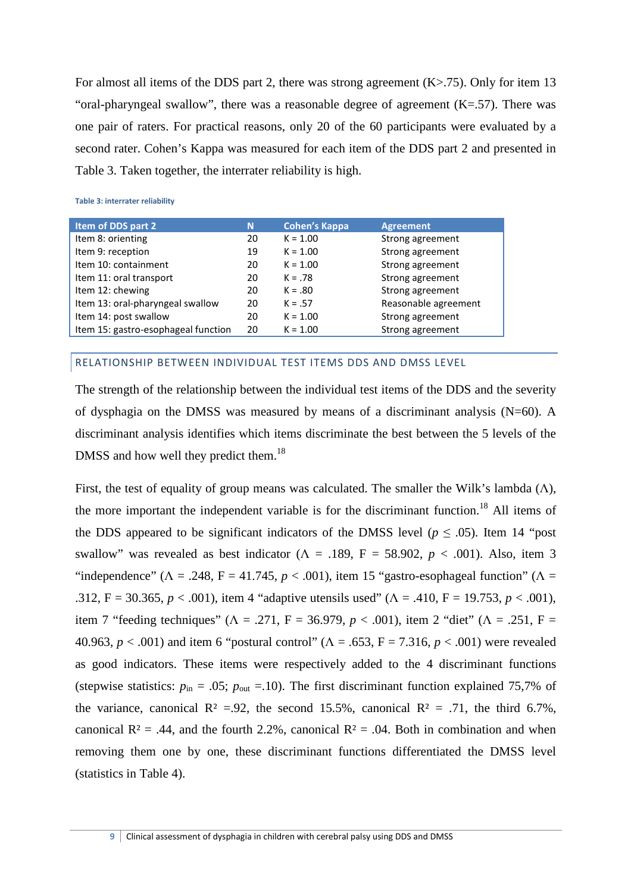For almost all items of the DDS part 2, there was strong agreement (K>.75). Only for item 13 "oral-pharyngeal swallow", there was a reasonable degree of agreement  $(K=57)$ . There was one pair of raters. For practical reasons, only 20 of the 60 participants were evaluated by a second rater. Cohen's Kappa was measured for each item of the DDS part 2 and presented in Table 3. Taken together, the interrater reliability is high.

**Table 3: interrater reliability** 

| Item of DDS part 2                  | N  | <b>Cohen's Kappa</b> | <b>Agreement</b>     |
|-------------------------------------|----|----------------------|----------------------|
| Item 8: orienting                   | 20 | $K = 1.00$           | Strong agreement     |
| Item 9: reception                   | 19 | $K = 1.00$           | Strong agreement     |
| Item 10: containment                | 20 | $K = 1.00$           | Strong agreement     |
| Item 11: oral transport             | 20 | $K = .78$            | Strong agreement     |
| Item 12: chewing                    | 20 | $K = .80$            | Strong agreement     |
| Item 13: oral-pharyngeal swallow    | 20 | $K = .57$            | Reasonable agreement |
| Item 14: post swallow               | 20 | $K = 1.00$           | Strong agreement     |
| Item 15: gastro-esophageal function | 20 | $K = 1.00$           | Strong agreement     |

# RELATIONSHIP BETWEEN INDIVIDUAL TEST ITEMS DDS AND DMSS LEVEL

The strength of the relationship between the individual test items of the DDS and the severity of dysphagia on the DMSS was measured by means of a discriminant analysis (N=60). A discriminant analysis identifies which items discriminate the best between the 5 levels of the DMSS and how well they predict them.<sup>18</sup>

First, the test of equality of group means was calculated. The smaller the Wilk's lambda  $(\Lambda)$ , the more important the independent variable is for the discriminant function.<sup>18</sup> All items of the DDS appeared to be significant indicators of the DMSS level ( $p \leq .05$ ). Item 14 "post swallow" was revealed as best indicator ( $\Lambda = .189$ , F = 58.902, p < .001). Also, item 3 "independence" ( $\Lambda = .248$ ,  $F = 41.745$ ,  $p < .001$ ), item 15 "gastro-esophageal function" ( $\Lambda =$ .312, F = 30.365,  $p < .001$ ), item 4 "adaptive utensils used" ( $\Lambda$  = .410, F = 19.753,  $p < .001$ ), item 7 "feeding techniques" ( $\Lambda = .271$ ,  $F = 36.979$ ,  $p < .001$ ), item 2 "diet" ( $\Lambda = .251$ ,  $F =$ 40.963, *p* < .001) and item 6 "postural control" (Λ = .653, F = 7.316, *p* < .001) were revealed as good indicators. These items were respectively added to the 4 discriminant functions (stepwise statistics:  $p_{\text{in}} = .05$ ;  $p_{\text{out}} = .10$ ). The first discriminant function explained 75,7% of the variance, canonical  $R^2 = 0.92$ , the second 15.5%, canonical  $R^2 = 0.71$ , the third 6.7%, canonical  $R^2 = .44$ , and the fourth 2.2%, canonical  $R^2 = .04$ . Both in combination and when removing them one by one, these discriminant functions differentiated the DMSS level (statistics in Table 4).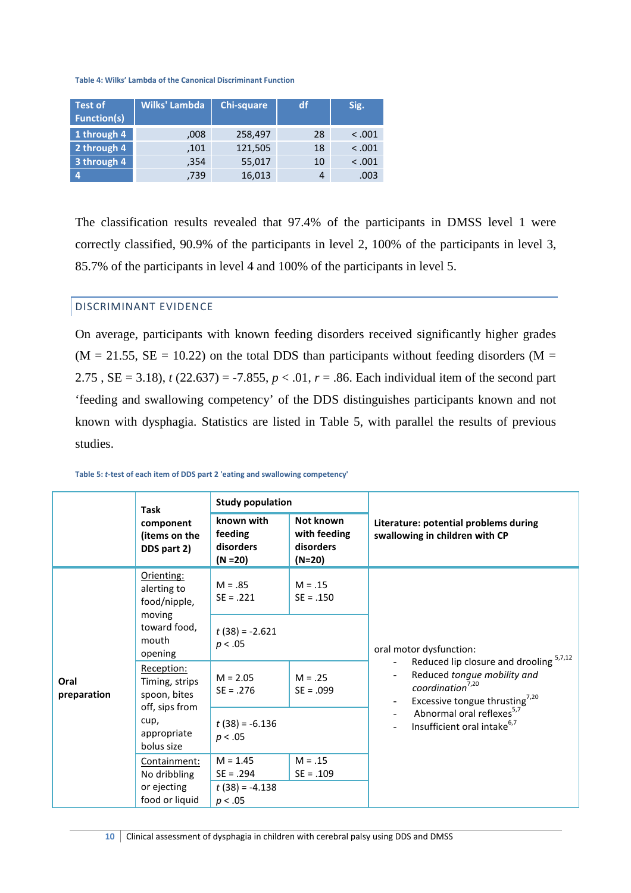**Table 4: Wilks' Lambda of the Canonical Discriminant Function** 

| <b>Test of</b><br><b>Function(s)</b> | Wilks' Lambda | Chi-square | df | Sig.    |
|--------------------------------------|---------------|------------|----|---------|
| 1 through 4                          | ,008          | 258,497    | 28 | < 0.001 |
| 2 through 4                          | ,101          | 121,505    | 18 | < 0.001 |
| 3 through 4                          | ,354          | 55,017     | 10 | < 0.001 |
|                                      | ,739          | 16,013     | 4  | .003    |

The classification results revealed that 97.4% of the participants in DMSS level 1 were correctly classified, 90.9% of the participants in level 2, 100% of the participants in level 3, 85.7% of the participants in level 4 and 100% of the participants in level 5.

#### DISCRIMINANT EVIDENCE

On average, participants with known feeding disorders received significantly higher grades  $(M = 21.55, SE = 10.22)$  on the total DDS than participants without feeding disorders  $(M = 10.22)$ 2.75,  $SE = 3.18$ ,  $t(22.637) = -7.855$ ,  $p < 0.01$ ,  $r = .86$ . Each individual item of the second part 'feeding and swallowing competency' of the DDS distinguishes participants known and not known with dysphagia. Statistics are listed in Table 5, with parallel the results of previous studies.

|                     | <b>Task</b>                                                    | <b>Study population</b>                          |                                                    |                                                                                                           |
|---------------------|----------------------------------------------------------------|--------------------------------------------------|----------------------------------------------------|-----------------------------------------------------------------------------------------------------------|
|                     | component<br>(items on the<br>DDS part 2)                      | known with<br>feeding<br>disorders<br>$(N = 20)$ | Not known<br>with feeding<br>disorders<br>$(N=20)$ | Literature: potential problems during<br>swallowing in children with CP                                   |
|                     | Orienting:<br>alerting to<br>food/nipple,<br>moving            | $M = .85$<br>$SE = .221$                         | $M = .15$<br>$SE = .150$                           |                                                                                                           |
|                     | toward food,<br>mouth<br>opening                               | $t(38) = -2.621$<br>p < .05                      |                                                    | oral motor dysfunction:<br>Reduced lip closure and drooling 5,7,12                                        |
| Oral<br>preparation | Reception:<br>Timing, strips<br>spoon, bites<br>off, sips from | $M = 2.05$<br>$SE = .276$                        | $M = .25$<br>$SE = .099$                           | Reduced tongue mobility and<br>coordination <sup>7,20</sup><br>Excessive tongue thrusting <sup>7,20</sup> |
|                     | cup,<br>appropriate<br>bolus size                              | $t(38) = -6.136$<br>p < .05                      |                                                    | Abnormal oral reflexes <sup>5,7</sup><br>Insufficient oral intake <sup>6,7</sup>                          |
|                     | Containment:<br>No dribbling                                   | $M = 1.45$<br>$SE = .294$                        | $M = .15$<br>$SE = .109$                           |                                                                                                           |
|                     | or ejecting<br>food or liquid                                  | $t(38) = -4.138$<br>p < .05                      |                                                    |                                                                                                           |

**Table 5:** *t***-test of each item of DDS part 2 'eating and swallowing competency'**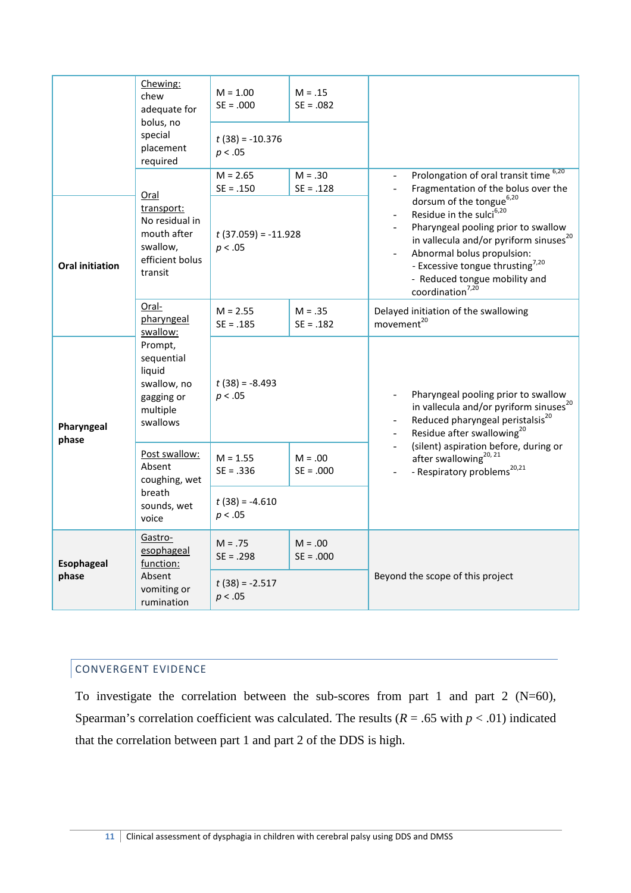|                                                         | Chewing:<br>chew<br>adequate for<br>bolus, no<br>special<br>placement<br>required             | $M = 1.00$<br>$SE = .000$<br>$t(38) = -10.376$<br>p < .05     | $M = .15$<br>$SE = .082$ |                                                                                                                                                                                                                                                                                                                                                                                                                                       |
|---------------------------------------------------------|-----------------------------------------------------------------------------------------------|---------------------------------------------------------------|--------------------------|---------------------------------------------------------------------------------------------------------------------------------------------------------------------------------------------------------------------------------------------------------------------------------------------------------------------------------------------------------------------------------------------------------------------------------------|
| Oral initiation                                         | Oral<br>transport:<br>No residual in<br>mouth after<br>swallow,<br>efficient bolus<br>transit | $M = 2.65$<br>$SE = .150$<br>$t(37.059) = -11.928$<br>p < .05 | $M = .30$<br>$SE = .128$ | Prolongation of oral transit time 6,20<br>$\overline{\phantom{a}}$<br>Fragmentation of the bolus over the<br>dorsum of the tongue <sup>6,20</sup><br>Residue in the sulci <sup>6,20</sup><br>Pharyngeal pooling prior to swallow<br>in vallecula and/or pyriform sinuses <sup>20</sup><br>Abnormal bolus propulsion:<br>- Excessive tongue thrusting <sup>7,20</sup><br>- Reduced tongue mobility and<br>coordination <sup>7,20</sup> |
|                                                         | Oral-<br>pharyngeal<br>swallow:                                                               | $M = 2.55$<br>$SE = .185$                                     | $M = .35$<br>$SE = .182$ | Delayed initiation of the swallowing<br>movement <sup>20</sup>                                                                                                                                                                                                                                                                                                                                                                        |
| Pharyngeal<br>phase                                     | Prompt,<br>sequential<br>liquid<br>swallow, no<br>gagging or<br>multiple<br>swallows          | $t(38) = -8.493$<br>p < .05                                   |                          | Pharyngeal pooling prior to swallow<br>in vallecula and/or pyriform sinuses <sup>20</sup><br>Reduced pharyngeal peristalsis <sup>20</sup><br>Residue after swallowing <sup>20</sup>                                                                                                                                                                                                                                                   |
|                                                         | Post swallow:<br>Absent<br>coughing, wet                                                      | $M = 1.55$<br>$SE = .336$                                     | $M = .00$<br>$SE = .000$ | (silent) aspiration before, during or<br>after swallowing <sup>20, 21</sup><br>- Respiratory problems <sup>20,21</sup>                                                                                                                                                                                                                                                                                                                |
|                                                         | breath<br>sounds, wet<br>voice                                                                | $t(38) = -4.610$<br>p < .05                                   |                          |                                                                                                                                                                                                                                                                                                                                                                                                                                       |
| Gastro-<br>esophageal<br><b>Esophageal</b><br>function: |                                                                                               | $M = .75$<br>$SE = .298$                                      | $M = .00$<br>$SE = .000$ |                                                                                                                                                                                                                                                                                                                                                                                                                                       |
| phase                                                   | Absent<br>vomiting or<br>rumination                                                           | $t(38) = -2.517$<br>p < .05                                   |                          | Beyond the scope of this project                                                                                                                                                                                                                                                                                                                                                                                                      |

# CONVERGENT EVIDENCE

To investigate the correlation between the sub-scores from part 1 and part 2 (N=60), Spearman's correlation coefficient was calculated. The results ( $R = .65$  with  $p < .01$ ) indicated that the correlation between part 1 and part 2 of the DDS is high.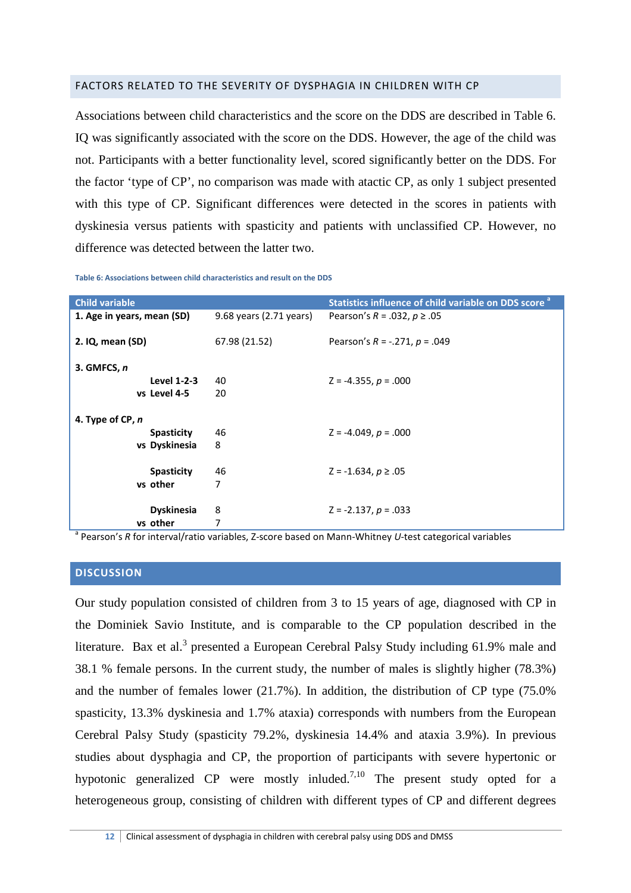# FACTORS RELATED TO THE SEVERITY OF DYSPHAGIA IN CHILDREN WITH CP

Associations between child characteristics and the score on the DDS are described in Table 6. IQ was significantly associated with the score on the DDS. However, the age of the child was not. Participants with a better functionality level, scored significantly better on the DDS. For the factor 'type of CP', no comparison was made with atactic CP, as only 1 subject presented with this type of CP. Significant differences were detected in the scores in patients with dyskinesia versus patients with spasticity and patients with unclassified CP. However, no difference was detected between the latter two.

| <b>Child variable</b>      |                         | Statistics influence of child variable on DDS score <sup>a</sup> |
|----------------------------|-------------------------|------------------------------------------------------------------|
| 1. Age in years, mean (SD) | 9.68 years (2.71 years) | Pearson's R = .032, $p$ ≥ .05                                    |
| 2. IQ, mean (SD)           | 67.98 (21.52)           | Pearson's $R = -.271$ , $p = .049$                               |
| 3. GMFCS, n                |                         |                                                                  |
| Level 1-2-3                | 40                      | $Z = -4.355$ , $p = .000$                                        |
| vs Level 4-5               | 20                      |                                                                  |
| 4. Type of CP, n           |                         |                                                                  |
| <b>Spasticity</b>          | 46                      | $Z = -4.049$ , $p = .000$                                        |
| vs Dyskinesia              | 8                       |                                                                  |
| <b>Spasticity</b>          | 46                      | $Z = -1.634, p \ge .05$                                          |
| vs other                   | 7                       |                                                                  |
| <b>Dyskinesia</b>          | 8                       | $Z = -2.137, p = .033$                                           |
| vs other                   | 7                       |                                                                  |

**Table 6: Associations between child characteristics and result on the DDS** 

a Pearson's *R* for interval/ratio variables, Z-score based on Mann-Whitney *U*-test categorical variables

#### **DISCUSSION**

Our study population consisted of children from 3 to 15 years of age, diagnosed with CP in the Dominiek Savio Institute, and is comparable to the CP population described in the literature. Bax et al.<sup>3</sup> presented a European Cerebral Palsy Study including 61.9% male and 38.1 % female persons. In the current study, the number of males is slightly higher (78.3%) and the number of females lower (21.7%). In addition, the distribution of CP type (75.0% spasticity, 13.3% dyskinesia and 1.7% ataxia) corresponds with numbers from the European Cerebral Palsy Study (spasticity 79.2%, dyskinesia 14.4% and ataxia 3.9%). In previous studies about dysphagia and CP, the proportion of participants with severe hypertonic or hypotonic generalized CP were mostly inluded.<sup>7,10</sup> The present study opted for a heterogeneous group, consisting of children with different types of CP and different degrees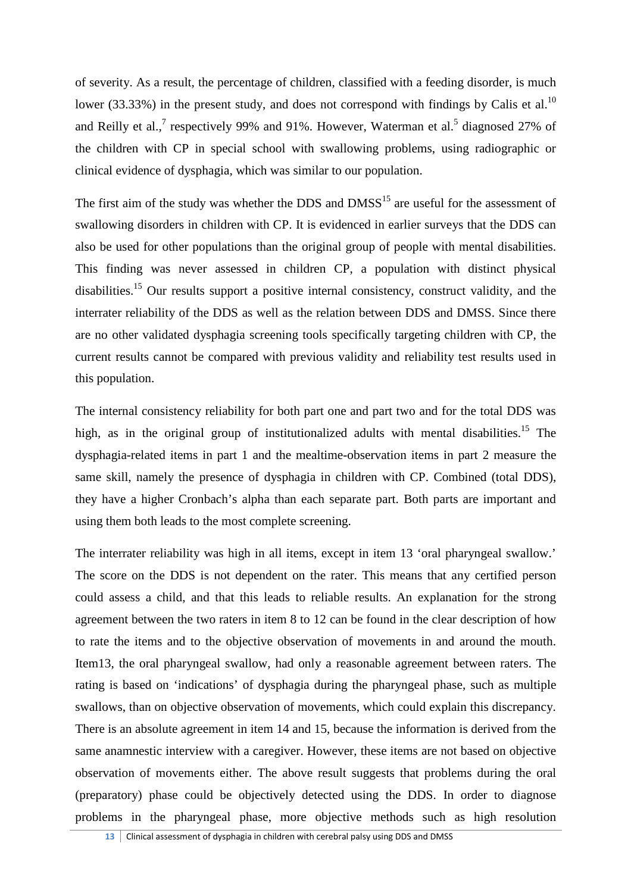of severity. As a result, the percentage of children, classified with a feeding disorder, is much lower (33.33%) in the present study, and does not correspond with findings by Calis et al.<sup>10</sup> and Reilly et al.,<sup>7</sup> respectively 99% and 91%. However, Waterman et al.<sup>5</sup> diagnosed 27% of the children with CP in special school with swallowing problems, using radiographic or clinical evidence of dysphagia, which was similar to our population.

The first aim of the study was whether the DDS and  $DMSS<sup>15</sup>$  are useful for the assessment of swallowing disorders in children with CP. It is evidenced in earlier surveys that the DDS can also be used for other populations than the original group of people with mental disabilities. This finding was never assessed in children CP, a population with distinct physical disabilities.<sup>15</sup> Our results support a positive internal consistency, construct validity, and the interrater reliability of the DDS as well as the relation between DDS and DMSS. Since there are no other validated dysphagia screening tools specifically targeting children with CP, the current results cannot be compared with previous validity and reliability test results used in this population.

The internal consistency reliability for both part one and part two and for the total DDS was high, as in the original group of institutionalized adults with mental disabilities.<sup>15</sup> The dysphagia-related items in part 1 and the mealtime-observation items in part 2 measure the same skill, namely the presence of dysphagia in children with CP. Combined (total DDS), they have a higher Cronbach's alpha than each separate part. Both parts are important and using them both leads to the most complete screening.

The interrater reliability was high in all items, except in item 13 'oral pharyngeal swallow.' The score on the DDS is not dependent on the rater. This means that any certified person could assess a child, and that this leads to reliable results. An explanation for the strong agreement between the two raters in item 8 to 12 can be found in the clear description of how to rate the items and to the objective observation of movements in and around the mouth. Item13, the oral pharyngeal swallow, had only a reasonable agreement between raters. The rating is based on 'indications' of dysphagia during the pharyngeal phase, such as multiple swallows, than on objective observation of movements, which could explain this discrepancy. There is an absolute agreement in item 14 and 15, because the information is derived from the same anamnestic interview with a caregiver. However, these items are not based on objective observation of movements either. The above result suggests that problems during the oral (preparatory) phase could be objectively detected using the DDS. In order to diagnose problems in the pharyngeal phase, more objective methods such as high resolution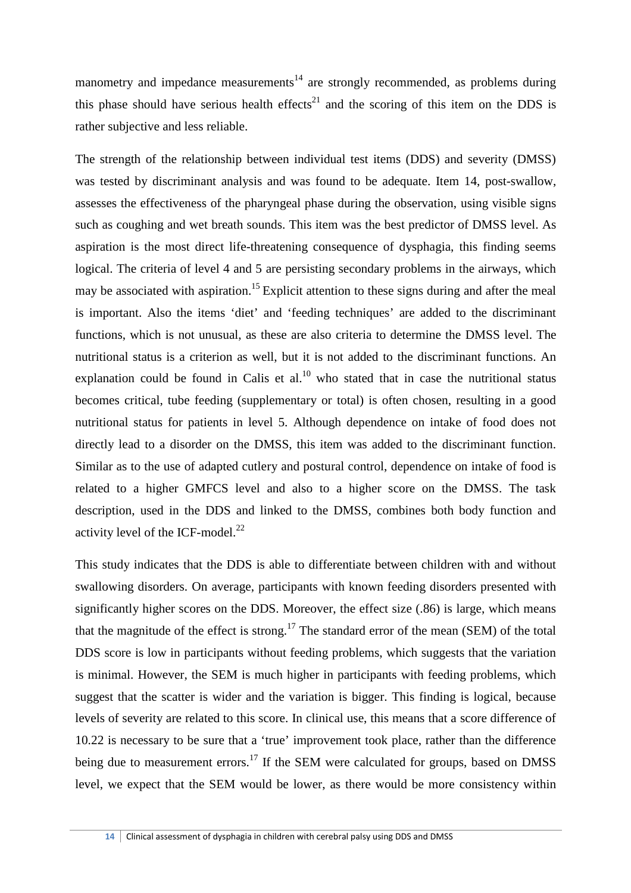manometry and impedance measurements<sup>14</sup> are strongly recommended, as problems during this phase should have serious health effects<sup>21</sup> and the scoring of this item on the DDS is rather subjective and less reliable.

The strength of the relationship between individual test items (DDS) and severity (DMSS) was tested by discriminant analysis and was found to be adequate. Item 14, post-swallow, assesses the effectiveness of the pharyngeal phase during the observation, using visible signs such as coughing and wet breath sounds. This item was the best predictor of DMSS level. As aspiration is the most direct life-threatening consequence of dysphagia, this finding seems logical. The criteria of level 4 and 5 are persisting secondary problems in the airways, which may be associated with aspiration.<sup>15</sup> Explicit attention to these signs during and after the meal is important. Also the items 'diet' and 'feeding techniques' are added to the discriminant functions, which is not unusual, as these are also criteria to determine the DMSS level. The nutritional status is a criterion as well, but it is not added to the discriminant functions. An explanation could be found in Calis et al.<sup>10</sup> who stated that in case the nutritional status becomes critical, tube feeding (supplementary or total) is often chosen, resulting in a good nutritional status for patients in level 5. Although dependence on intake of food does not directly lead to a disorder on the DMSS, this item was added to the discriminant function. Similar as to the use of adapted cutlery and postural control, dependence on intake of food is related to a higher GMFCS level and also to a higher score on the DMSS. The task description, used in the DDS and linked to the DMSS, combines both body function and activity level of the ICF-model. $^{22}$ 

This study indicates that the DDS is able to differentiate between children with and without swallowing disorders. On average, participants with known feeding disorders presented with significantly higher scores on the DDS. Moreover, the effect size (.86) is large, which means that the magnitude of the effect is strong.<sup>17</sup> The standard error of the mean (SEM) of the total DDS score is low in participants without feeding problems, which suggests that the variation is minimal. However, the SEM is much higher in participants with feeding problems, which suggest that the scatter is wider and the variation is bigger. This finding is logical, because levels of severity are related to this score. In clinical use, this means that a score difference of 10.22 is necessary to be sure that a 'true' improvement took place, rather than the difference being due to measurement errors.<sup>17</sup> If the SEM were calculated for groups, based on DMSS level, we expect that the SEM would be lower, as there would be more consistency within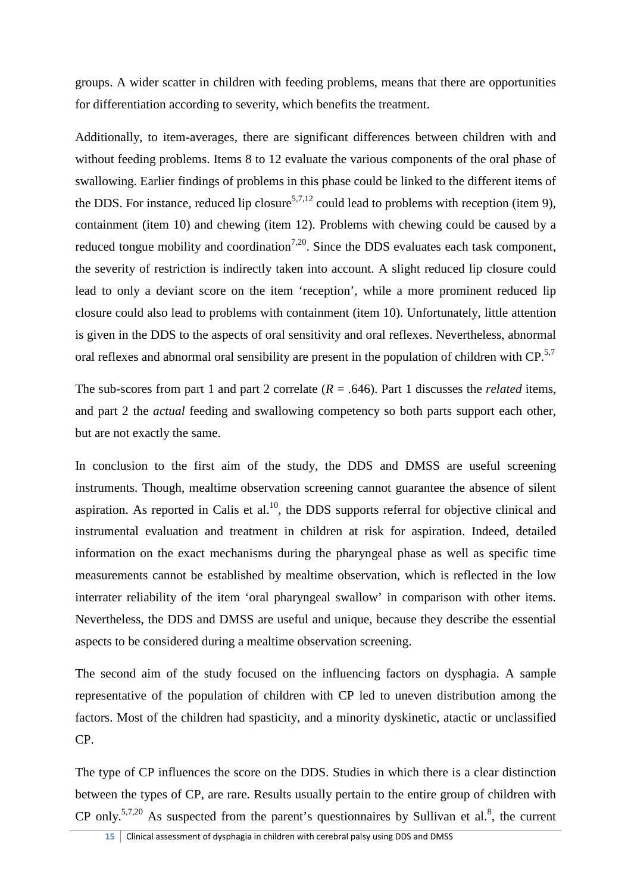groups. A wider scatter in children with feeding problems, means that there are opportunities for differentiation according to severity, which benefits the treatment.

Additionally, to item-averages, there are significant differences between children with and without feeding problems. Items 8 to 12 evaluate the various components of the oral phase of swallowing. Earlier findings of problems in this phase could be linked to the different items of the DDS. For instance, reduced lip closure<sup>5,7,12</sup> could lead to problems with reception (item 9), containment (item 10) and chewing (item 12). Problems with chewing could be caused by a reduced tongue mobility and coordination<sup>7,20</sup>. Since the DDS evaluates each task component, the severity of restriction is indirectly taken into account. A slight reduced lip closure could lead to only a deviant score on the item 'reception', while a more prominent reduced lip closure could also lead to problems with containment (item 10). Unfortunately, little attention is given in the DDS to the aspects of oral sensitivity and oral reflexes. Nevertheless, abnormal oral reflexes and abnormal oral sensibility are present in the population of children with  $CP$ .<sup>5,7</sup>

The sub-scores from part 1 and part 2 correlate  $(R = .646)$ . Part 1 discusses the *related* items, and part 2 the *actual* feeding and swallowing competency so both parts support each other, but are not exactly the same.

In conclusion to the first aim of the study, the DDS and DMSS are useful screening instruments. Though, mealtime observation screening cannot guarantee the absence of silent aspiration. As reported in Calis et al.<sup>10</sup>, the DDS supports referral for objective clinical and instrumental evaluation and treatment in children at risk for aspiration. Indeed, detailed information on the exact mechanisms during the pharyngeal phase as well as specific time measurements cannot be established by mealtime observation, which is reflected in the low interrater reliability of the item 'oral pharyngeal swallow' in comparison with other items. Nevertheless, the DDS and DMSS are useful and unique, because they describe the essential aspects to be considered during a mealtime observation screening.

The second aim of the study focused on the influencing factors on dysphagia. A sample representative of the population of children with CP led to uneven distribution among the factors. Most of the children had spasticity, and a minority dyskinetic, atactic or unclassified CP.

The type of CP influences the score on the DDS. Studies in which there is a clear distinction between the types of CP, are rare. Results usually pertain to the entire group of children with CP only.<sup>5,7,20</sup> As suspected from the parent's questionnaires by Sullivan et al.<sup>8</sup>, the current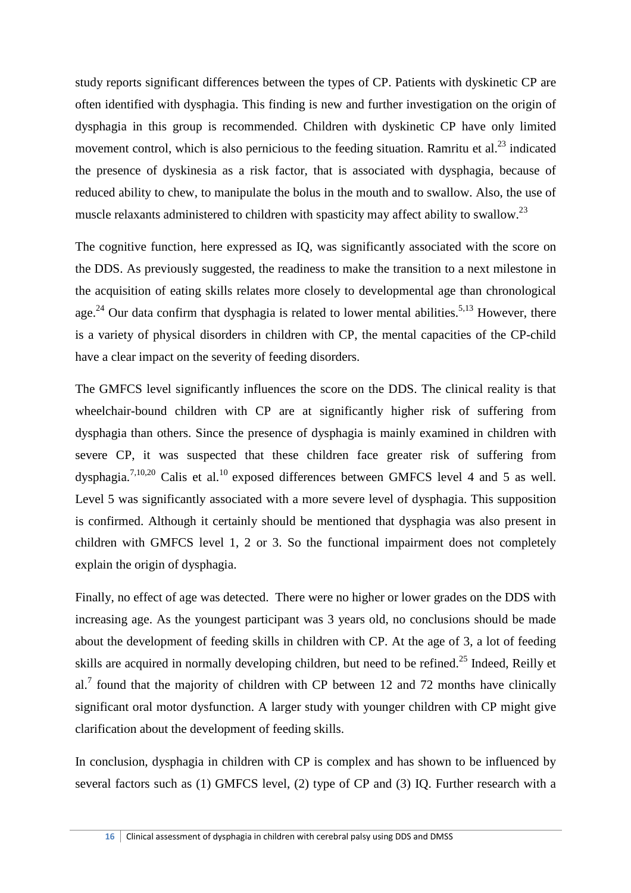study reports significant differences between the types of CP. Patients with dyskinetic CP are often identified with dysphagia. This finding is new and further investigation on the origin of dysphagia in this group is recommended. Children with dyskinetic CP have only limited movement control, which is also pernicious to the feeding situation. Ramritu et al.<sup>23</sup> indicated the presence of dyskinesia as a risk factor, that is associated with dysphagia, because of reduced ability to chew, to manipulate the bolus in the mouth and to swallow. Also, the use of muscle relaxants administered to children with spasticity may affect ability to swallow.<sup>23</sup>

The cognitive function, here expressed as IQ, was significantly associated with the score on the DDS. As previously suggested, the readiness to make the transition to a next milestone in the acquisition of eating skills relates more closely to developmental age than chronological age.<sup>24</sup> Our data confirm that dysphagia is related to lower mental abilities.<sup>5,13</sup> However, there is a variety of physical disorders in children with CP, the mental capacities of the CP-child have a clear impact on the severity of feeding disorders.

The GMFCS level significantly influences the score on the DDS. The clinical reality is that wheelchair-bound children with CP are at significantly higher risk of suffering from dysphagia than others. Since the presence of dysphagia is mainly examined in children with severe CP, it was suspected that these children face greater risk of suffering from dysphagia.<sup>7,10,20</sup> Calis et al.<sup>10</sup> exposed differences between GMFCS level 4 and 5 as well. Level 5 was significantly associated with a more severe level of dysphagia. This supposition is confirmed. Although it certainly should be mentioned that dysphagia was also present in children with GMFCS level 1, 2 or 3. So the functional impairment does not completely explain the origin of dysphagia.

Finally, no effect of age was detected. There were no higher or lower grades on the DDS with increasing age. As the youngest participant was 3 years old, no conclusions should be made about the development of feeding skills in children with CP. At the age of 3, a lot of feeding skills are acquired in normally developing children, but need to be refined.<sup>25</sup> Indeed, Reilly et al.<sup>7</sup> found that the majority of children with CP between 12 and 72 months have clinically significant oral motor dysfunction. A larger study with younger children with CP might give clarification about the development of feeding skills.

In conclusion, dysphagia in children with CP is complex and has shown to be influenced by several factors such as (1) GMFCS level, (2) type of CP and (3) IQ. Further research with a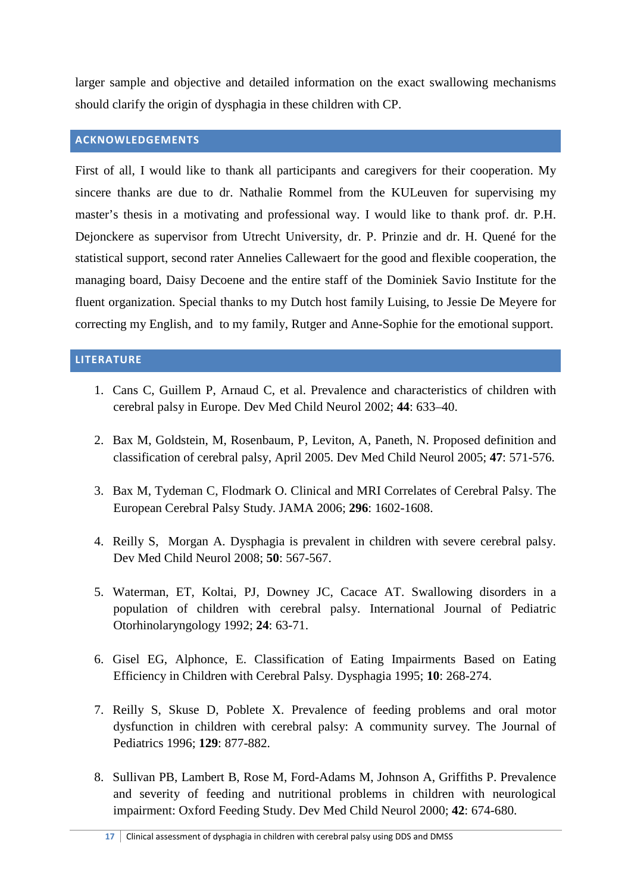larger sample and objective and detailed information on the exact swallowing mechanisms should clarify the origin of dysphagia in these children with CP.

# **ACKNOWLEDGEMENTS**

First of all, I would like to thank all participants and caregivers for their cooperation. My sincere thanks are due to dr. Nathalie Rommel from the KULeuven for supervising my master's thesis in a motivating and professional way. I would like to thank prof. dr. P.H. Dejonckere as supervisor from Utrecht University, dr. P. Prinzie and dr. H. Quené for the statistical support, second rater Annelies Callewaert for the good and flexible cooperation, the managing board, Daisy Decoene and the entire staff of the Dominiek Savio Institute for the fluent organization. Special thanks to my Dutch host family Luising, to Jessie De Meyere for correcting my English, and to my family, Rutger and Anne-Sophie for the emotional support.

# **LITERATURE**

- 1. Cans C, Guillem P, Arnaud C, et al. Prevalence and characteristics of children with cerebral palsy in Europe. Dev Med Child Neurol 2002; **44**: 633–40.
- 2. Bax M, Goldstein, M, Rosenbaum, P, Leviton, A, Paneth, N. Proposed definition and classification of cerebral palsy, April 2005. Dev Med Child Neurol 2005; **47**: 571-576.
- 3. Bax M, Tydeman C, Flodmark O. Clinical and MRI Correlates of Cerebral Palsy. The European Cerebral Palsy Study. JAMA 2006; **296**: 1602-1608.
- 4. Reilly S, Morgan A. Dysphagia is prevalent in children with severe cerebral palsy. Dev Med Child Neurol 2008; **50**: 567-567.
- 5. Waterman, ET, Koltai, PJ, Downey JC, Cacace AT. Swallowing disorders in a population of children with cerebral palsy. International Journal of Pediatric Otorhinolaryngology 1992; **24**: 63-71.
- 6. Gisel EG, Alphonce, E. Classification of Eating Impairments Based on Eating Efficiency in Children with Cerebral Palsy*.* Dysphagia 1995; **10**: 268-274.
- 7. Reilly S, Skuse D, Poblete X. Prevalence of feeding problems and oral motor dysfunction in children with cerebral palsy: A community survey*.* The Journal of Pediatrics 1996; **129**: 877-882.
- 8. Sullivan PB, Lambert B, Rose M, Ford-Adams M, Johnson A, Griffiths P. Prevalence and severity of feeding and nutritional problems in children with neurological impairment: Oxford Feeding Study. Dev Med Child Neurol 2000; **42**: 674-680.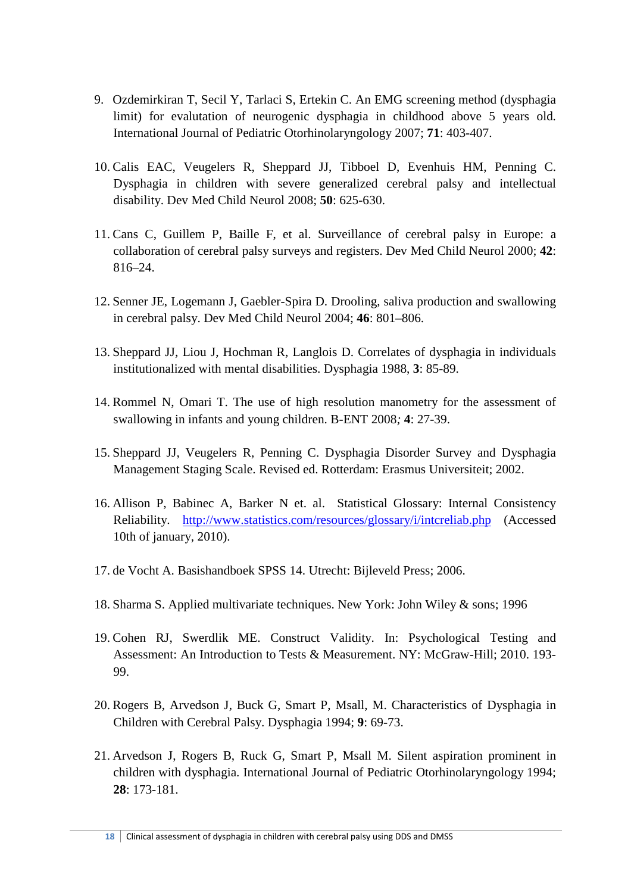- 9. Ozdemirkiran T, Secil Y, Tarlaci S, Ertekin C. An EMG screening method (dysphagia limit) for evalutation of neurogenic dysphagia in childhood above 5 years old*.*  International Journal of Pediatric Otorhinolaryngology 2007; **71**: 403-407.
- 10. Calis EAC, Veugelers R, Sheppard JJ, Tibboel D, Evenhuis HM, Penning C. Dysphagia in children with severe generalized cerebral palsy and intellectual disability. Dev Med Child Neurol 2008; **50**: 625-630.
- 11. Cans C, Guillem P, Baille F, et al. Surveillance of cerebral palsy in Europe: a collaboration of cerebral palsy surveys and registers. Dev Med Child Neurol 2000; **42**: 816–24.
- 12. Senner JE, Logemann J, Gaebler-Spira D. Drooling, saliva production and swallowing in cerebral palsy. Dev Med Child Neurol 2004; **46**: 801–806.
- 13. Sheppard JJ, Liou J, Hochman R, Langlois D. Correlates of dysphagia in individuals institutionalized with mental disabilities. Dysphagia 1988, **3**: 85-89.
- 14. Rommel N, Omari T. The use of high resolution manometry for the assessment of swallowing in infants and young children. B*-*ENT 2008*;* **4**: 27-39.
- 15. Sheppard JJ, Veugelers R, Penning C. Dysphagia Disorder Survey and Dysphagia Management Staging Scale. Revised ed. Rotterdam: Erasmus Universiteit; 2002.
- 16. Allison P, Babinec A, Barker N et. al. Statistical Glossary: Internal Consistency Reliability. http://www.statistics.com/resources/glossary/i/intcreliab.php (Accessed 10th of january, 2010).
- 17. de Vocht A. Basishandboek SPSS 14. Utrecht: Bijleveld Press; 2006.
- 18. Sharma S. Applied multivariate techniques. New York: John Wiley & sons; 1996
- 19. Cohen RJ, Swerdlik ME. Construct Validity. In: Psychological Testing and Assessment: An Introduction to Tests & Measurement. NY: McGraw-Hill; 2010. 193- 99.
- 20. Rogers B, Arvedson J, Buck G, Smart P, Msall, M. Characteristics of Dysphagia in Children with Cerebral Palsy. Dysphagia 1994; **9**: 69-73.
- 21. Arvedson J, Rogers B, Ruck G, Smart P, Msall M. Silent aspiration prominent in children with dysphagia. International Journal of Pediatric Otorhinolaryngology 1994; **28**: 173-181.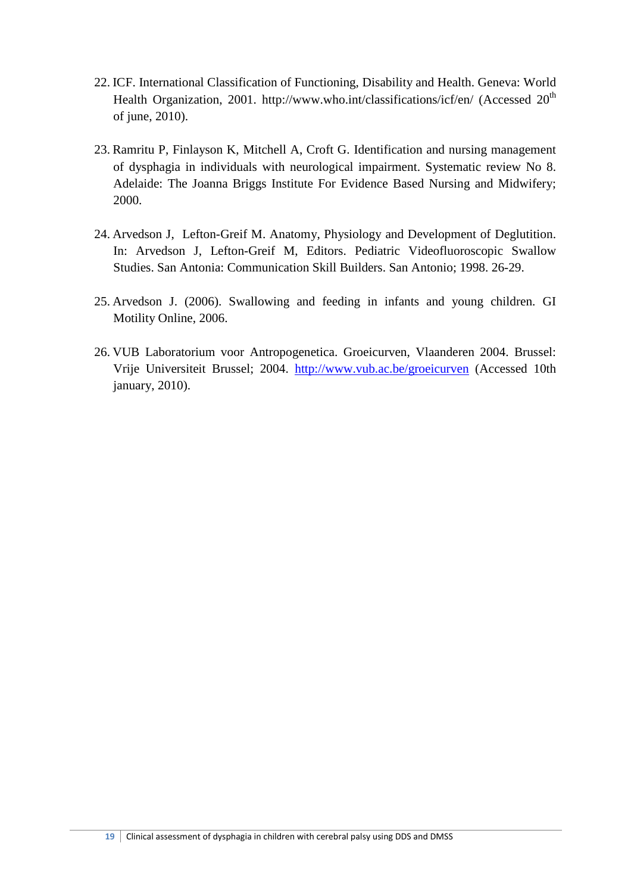- 22. ICF. International Classification of Functioning, Disability and Health. Geneva: World Health Organization, 2001. http://www.who.int/classifications/icf/en/ (Accessed 20<sup>th</sup>) of june, 2010).
- 23. Ramritu P, Finlayson K, Mitchell A, Croft G. Identification and nursing management of dysphagia in individuals with neurological impairment. Systematic review No 8. Adelaide: The Joanna Briggs Institute For Evidence Based Nursing and Midwifery; 2000.
- 24. Arvedson J, Lefton-Greif M. Anatomy, Physiology and Development of Deglutition. In: Arvedson J, Lefton-Greif M, Editors. Pediatric Videofluoroscopic Swallow Studies. San Antonia: Communication Skill Builders. San Antonio; 1998. 26-29.
- 25. Arvedson J. (2006). Swallowing and feeding in infants and young children. GI Motility Online, 2006.
- 26. VUB Laboratorium voor Antropogenetica. Groeicurven, Vlaanderen 2004. Brussel: Vrije Universiteit Brussel; 2004. http://www.vub.ac.be/groeicurven (Accessed 10th january, 2010).